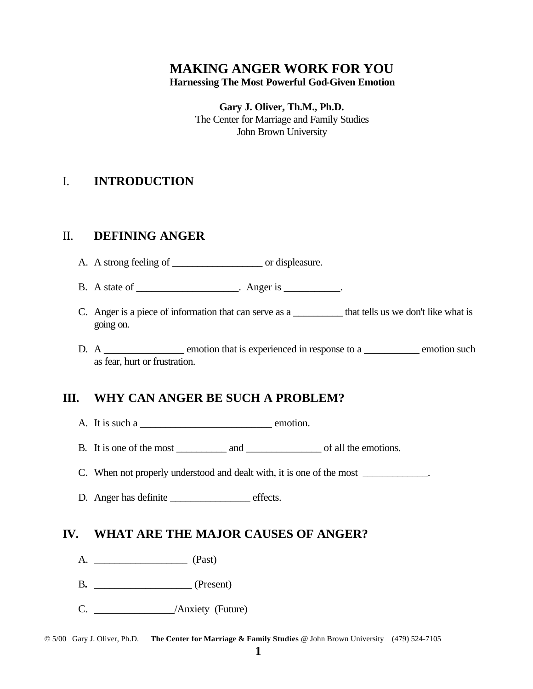# **MAKING ANGER WORK FOR YOU Harnessing The Most Powerful God-Given Emotion**

**Gary J. Oliver, Th.M., Ph.D.** The Center for Marriage and Family Studies John Brown University

# I. **INTRODUCTION**

# II. **DEFINING ANGER**

- A. A strong feeling of \_\_\_\_\_\_\_\_\_\_\_\_\_\_\_\_\_\_\_\_\_ or displeasure.
- B. A state of  $\qquad \qquad$  Anger is  $\qquad \qquad$
- C. Anger is a piece of information that can serve as a that tells us we don't like what is going on.
- D. A \_\_\_\_\_\_\_\_\_\_\_\_\_\_ emotion that is experienced in response to a \_\_\_\_\_\_\_\_\_\_ emotion such as fear, hurt or frustration.

# **III. WHY CAN ANGER BE SUCH A PROBLEM?**

A. It is such a \_\_\_\_\_\_\_\_\_\_\_\_\_\_\_\_\_\_\_\_\_\_\_\_\_\_ emotion.

B. It is one of the most \_\_\_\_\_\_\_\_\_\_ and \_\_\_\_\_\_\_\_\_\_\_\_\_\_\_ of all the emotions.

C. When not properly understood and dealt with, it is one of the most \_\_\_\_\_\_\_\_\_\_\_\_.

D. Anger has definite effects.

# **IV. WHAT ARE THE MAJOR CAUSES OF ANGER?**

- A. \_\_\_\_\_\_\_\_\_\_\_\_\_\_\_\_\_\_ (Past)
- B.  $(Present)$
- C. \_\_\_\_\_\_\_\_\_\_\_\_\_\_\_\_/Anxiety (Future)

© 5/00 Gary J. Oliver, Ph.D. **The Center for Marriage & Family Studies** @ John Brown University (479) 524-7105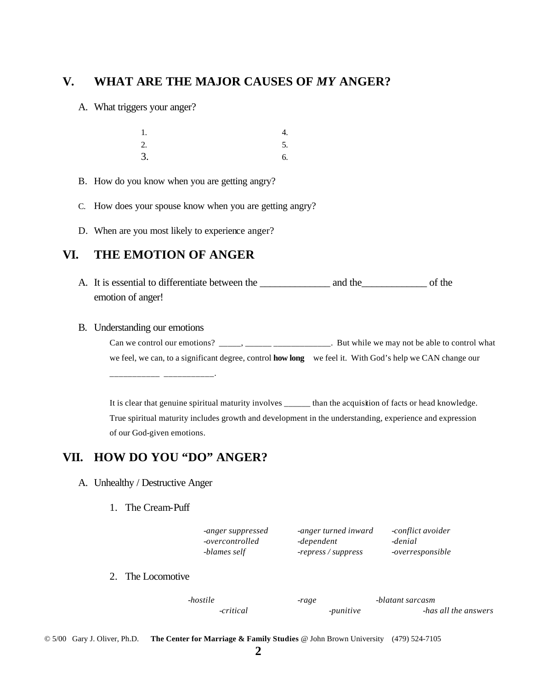## **V. WHAT ARE THE MAJOR CAUSES OF** *MY* **ANGER?**

A. What triggers your anger?

| 1.            | 4. |
|---------------|----|
| $rac{2}{3}$ . | 5. |
|               | 6. |

- B. How do you know when you are getting angry?
- C. How does your spouse know when you are getting angry?
- D. When are you most likely to experience anger?

# **VI. THE EMOTION OF ANGER**

A. It is essential to differentiate between the \_\_\_\_\_\_\_\_\_\_\_\_\_\_ and the \_\_\_\_\_\_\_\_\_\_\_\_\_ of the emotion of anger!

### B. Understanding our emotions

Can we control our emotions? \_\_\_\_\_, \_\_\_\_\_\_ \_\_\_\_\_\_\_\_\_\_\_. But while we may not be able to control what we feel, we can, to a significant degree, control **how long** we feel it. With God's help we CAN change our

It is clear that genuine spiritual maturity involves \_\_\_\_\_\_ than the acquisition of facts or head knowledge. True spiritual maturity includes growth and development in the understanding, experience and expression of our God-given emotions.

# **VII. HOW DO YOU "DO" ANGER?**

 $\overline{\phantom{a}}$   $\overline{\phantom{a}}$   $\overline{\phantom{a}}$   $\overline{\phantom{a}}$   $\overline{\phantom{a}}$   $\overline{\phantom{a}}$   $\overline{\phantom{a}}$   $\overline{\phantom{a}}$   $\overline{\phantom{a}}$   $\overline{\phantom{a}}$   $\overline{\phantom{a}}$   $\overline{\phantom{a}}$   $\overline{\phantom{a}}$   $\overline{\phantom{a}}$   $\overline{\phantom{a}}$   $\overline{\phantom{a}}$   $\overline{\phantom{a}}$   $\overline{\phantom{a}}$   $\overline{\$ 

### A. Unhealthy / Destructive Anger

1. The Cream-Puff

| -anger suppressed | -anger turned inward | -conflict avoider |
|-------------------|----------------------|-------------------|
| -overcontrolled   | -dependent           | -denial           |
| -blames self      | -repress / suppress  | -overresponsible  |

2. The Locomotive

| -hostile  | -rage     | -blatant sarcasm     |
|-----------|-----------|----------------------|
| -critical | -punitive | -has all the answers |

© 5/00 Gary J. Oliver, Ph.D. **The Center for Marriage & Family Studies** @ John Brown University (479) 524-7105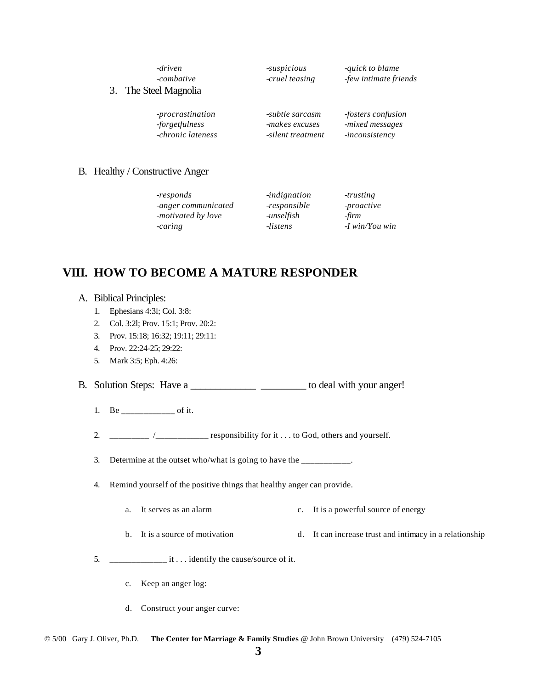# *-driven -suspicious -quick to blame*

*-combative -cruel teasing -few intimate friends*

### 3. The Steel Magnolia

*-procrastination -subtle sarcasm -fosters confusion -forgetfulness -makes excuses -mixed messages -chronic lateness -silent treatment -inconsistency*

### B. Healthy / Constructive Anger

| -responds           | <i>indignation</i> | -trusting        |
|---------------------|--------------------|------------------|
| -anger communicated | -responsible       | -proactive       |
| -motivated by love  | -unselfish         | -firm            |
| -caring             | -listens           | $-I$ win/You win |

# **VIII. HOW TO BECOME A MATURE RESPONDER**

### A. Biblical Principles:

- 1. Ephesians 4:3l; Col. 3:8:
- 2. Col. 3:2l; Prov. 15:1; Prov. 20:2:
- 3. Prov. 15:18; 16:32; 19:11; 29:11:
- 4. Prov. 22:24-25; 29:22:
- 5. Mark 3:5; Eph. 4:26:
- B. Solution Steps: Have a \_\_\_\_\_\_\_\_\_\_\_\_\_\_\_\_\_\_\_\_\_\_\_\_\_ to deal with your anger!
	- 1. Be \_\_\_\_\_\_\_\_\_\_\_\_\_\_\_ of it.
	- 2. \_\_\_\_\_\_\_\_\_\_\_\_\_ /\_\_\_\_\_\_\_\_\_\_\_\_\_\_\_\_ responsibility for it . . . to God, others and yourself.

3. Determine at the outset who/what is going to have the \_\_\_\_\_\_\_\_\_\_.

- 4. Remind yourself of the positive things that healthy anger can provide.
	- a. It serves as an alarm c. It is a powerful source of energy
	- b. It is a source of motivation d. It can increase trust and intimacy in a relationship
- 5. \_\_\_\_\_\_\_\_\_\_\_\_\_ it . . . identify the cause/source of it.
	- c. Keep an anger log:
	- d. Construct your anger curve: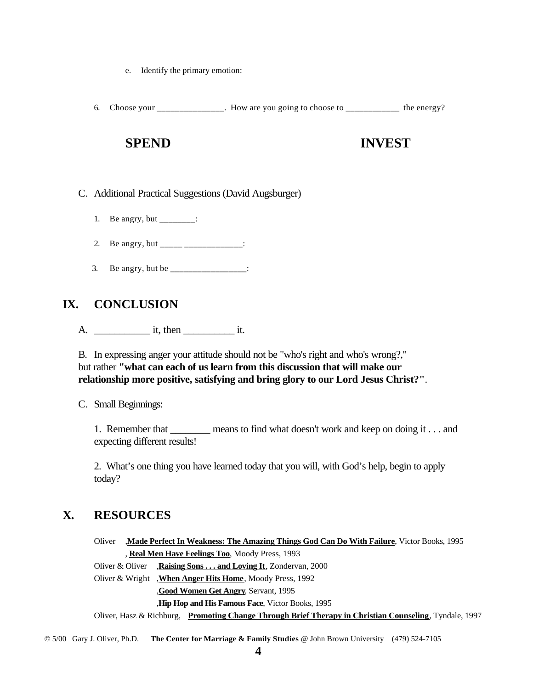- e. Identify the primary emotion:
- 6. Choose your \_\_\_\_\_\_\_\_\_\_\_\_\_\_\_. How are you going to choose to \_\_\_\_\_\_\_\_\_\_\_\_ the energy?

# **SPEND INVEST**

- C. Additional Practical Suggestions (David Augsburger)
	- 1. Be angry, but \_\_\_\_\_\_\_\_:
	- 2. Be angry, but \_\_\_\_\_\_\_\_\_\_\_\_\_\_\_\_\_\_\_:
	- 3. Be angry, but be \_\_\_\_\_\_\_\_\_\_\_\_\_\_\_\_\_:

# **IX. CONCLUSION**

A. it, then it.

B. In expressing anger your attitude should not be "who's right and who's wrong?," but rather **"what can each of us learn from this discussion that will make our relationship more positive, satisfying and bring glory to our Lord Jesus Christ?"**.

C. Small Beginnings:

1. Remember that \_\_\_\_\_\_\_\_ means to find what doesn't work and keep on doing it . . . and expecting different results!

2. What's one thing you have learned today that you will, with God's help, begin to apply today?

# **X. RESOURCES**

Oliver ,**Made Perfect In Weakness: The Amazing Things God Can Do With Failure**, Victor Books, 1995 , **Real Men Have Feelings Too**, Moody Press, 1993

Oliver & Oliver ,**Raising Sons . . . and Loving It**, Zondervan, 2000

Oliver & Wright ,**When Anger Hits Home**, Moody Press, 1992

,**Good Women Get Angry**, Servant, 1995

,**Hip Hop and His Famous Face**, Victor Books, 1995

Oliver, Hasz & Richburg, **Promoting Change Through Brief Therapy in Christian Counseling**, Tyndale, 1997

© 5/00 Gary J. Oliver, Ph.D. **The Center for Marriage & Family Studies** @ John Brown University (479) 524-7105